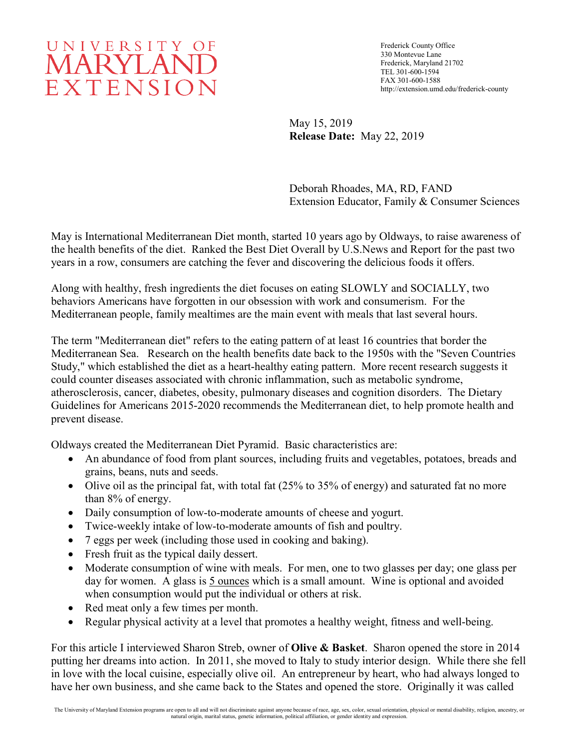## UNIVERSITY OF **MARYLAND** EXTENSION

Frederick County Office 330 Montevue Lane Frederick, Maryland 21702 TEL 301-600-1594 FAX 301-600-1588 http://extension.umd.edu/frederick-county

May 15, 2019 **Release Date:** May 22, 2019

Deborah Rhoades, MA, RD, FAND Extension Educator, Family & Consumer Sciences

May is International Mediterranean Diet month, started 10 years ago by Oldways, to raise awareness of the health benefits of the diet. Ranked the Best Diet Overall by U.S.News and Report for the past two years in a row, consumers are catching the fever and discovering the delicious foods it offers.

Along with healthy, fresh ingredients the diet focuses on eating SLOWLY and SOCIALLY, two behaviors Americans have forgotten in our obsession with work and consumerism. For the Mediterranean people, family mealtimes are the main event with meals that last several hours.

The term "Mediterranean diet" refers to the eating pattern of at least 16 countries that border the Mediterranean Sea. Research on the health benefits date back to the 1950s with the "Seven Countries Study," which established the diet as a heart-healthy eating pattern. More recent research suggests it could counter diseases associated with chronic inflammation, such as metabolic syndrome, atherosclerosis, cancer, diabetes, obesity, pulmonary diseases and cognition disorders. The Dietary Guidelines for Americans 2015-2020 recommends the Mediterranean diet, to help promote health and prevent disease.

Oldways created the Mediterranean Diet Pyramid. Basic characteristics are:

- An abundance of food from plant sources, including fruits and vegetables, potatoes, breads and grains, beans, nuts and seeds.
- Olive oil as the principal fat, with total fat (25% to 35% of energy) and saturated fat no more than 8% of energy.
- Daily consumption of low-to-moderate amounts of cheese and yogurt.
- Twice-weekly intake of low-to-moderate amounts of fish and poultry.
- 7 eggs per week (including those used in cooking and baking).
- Fresh fruit as the typical daily dessert.
- Moderate consumption of wine with meals. For men, one to two glasses per day; one glass per day for women. A glass is 5 ounces which is a small amount. Wine is optional and avoided when consumption would put the individual or others at risk.
- Red meat only a few times per month.
- Regular physical activity at a level that promotes a healthy weight, fitness and well-being.

For this article I interviewed Sharon Streb, owner of **Olive & Basket**. Sharon opened the store in 2014 putting her dreams into action. In 2011, she moved to Italy to study interior design. While there she fell in love with the local cuisine, especially olive oil. An entrepreneur by heart, who had always longed to have her own business, and she came back to the States and opened the store. Originally it was called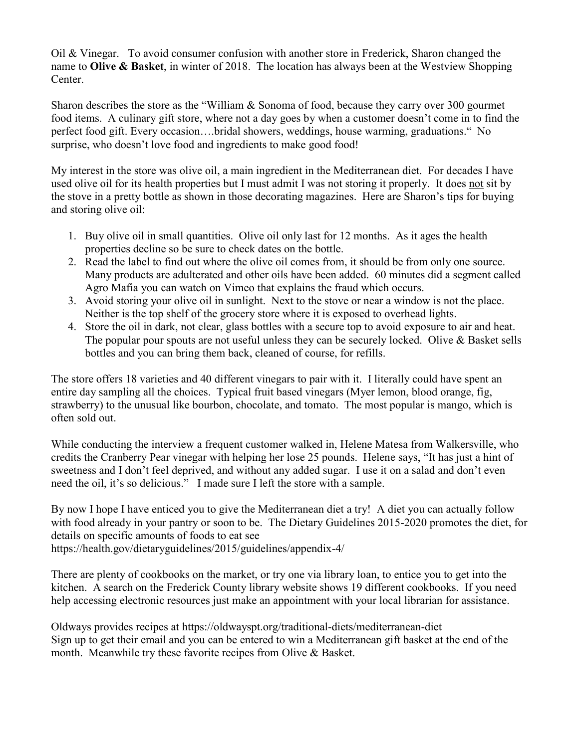Oil & Vinegar. To avoid consumer confusion with another store in Frederick, Sharon changed the name to **Olive & Basket**, in winter of 2018. The location has always been at the Westview Shopping Center.

Sharon describes the store as the "William & Sonoma of food, because they carry over 300 gourmet food items. A culinary gift store, where not a day goes by when a customer doesn't come in to find the perfect food gift. Every occasion….bridal showers, weddings, house warming, graduations." No surprise, who doesn't love food and ingredients to make good food!

My interest in the store was olive oil, a main ingredient in the Mediterranean diet. For decades I have used olive oil for its health properties but I must admit I was not storing it properly. It does not sit by the stove in a pretty bottle as shown in those decorating magazines. Here are Sharon's tips for buying and storing olive oil:

- 1. Buy olive oil in small quantities. Olive oil only last for 12 months. As it ages the health properties decline so be sure to check dates on the bottle.
- 2. Read the label to find out where the olive oil comes from, it should be from only one source. Many products are adulterated and other oils have been added. 60 minutes did a segment called Agro Mafia you can watch on Vimeo that explains the fraud which occurs.
- 3. Avoid storing your olive oil in sunlight. Next to the stove or near a window is not the place. Neither is the top shelf of the grocery store where it is exposed to overhead lights.
- 4. Store the oil in dark, not clear, glass bottles with a secure top to avoid exposure to air and heat. The popular pour spouts are not useful unless they can be securely locked. Olive & Basket sells bottles and you can bring them back, cleaned of course, for refills.

The store offers 18 varieties and 40 different vinegars to pair with it. I literally could have spent an entire day sampling all the choices. Typical fruit based vinegars (Myer lemon, blood orange, fig, strawberry) to the unusual like bourbon, chocolate, and tomato. The most popular is mango, which is often sold out.

While conducting the interview a frequent customer walked in, Helene Matesa from Walkersville, who credits the Cranberry Pear vinegar with helping her lose 25 pounds. Helene says, "It has just a hint of sweetness and I don't feel deprived, and without any added sugar. I use it on a salad and don't even need the oil, it's so delicious." I made sure I left the store with a sample.

By now I hope I have enticed you to give the Mediterranean diet a try! A diet you can actually follow with food already in your pantry or soon to be. The Dietary Guidelines 2015-2020 promotes the diet, for details on specific amounts of foods to eat see https://health.gov/dietaryguidelines/2015/guidelines/appendix-4/

There are plenty of cookbooks on the market, or try one via library loan, to entice you to get into the kitchen. A search on the Frederick County library website shows 19 different cookbooks. If you need help accessing electronic resources just make an appointment with your local librarian for assistance.

Oldways provides recipes at https://oldwayspt.org/traditional-diets/mediterranean-diet Sign up to get their email and you can be entered to win a Mediterranean gift basket at the end of the month. Meanwhile try these favorite recipes from Olive & Basket.